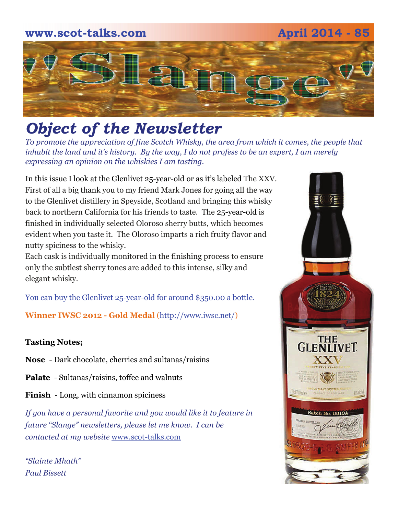

# *Object of the Newsletter*

*To promote the appreciation of fine Scotch Whisky, the area from which it comes, the people that inhabit the land and it's history. By the way, I do not profess to be an expert, I am merely expressing an opinion on the whiskies I am tasting.* 

In this issue I look at the Glenlivet 25-year-old or as it's labeled The XXV. First of all a big thank you to my friend Mark Jones for going all the way to the Glenlivet distillery in Speyside, Scotland and bringing this whisky back to northern California for his friends to taste. The 25-year-old is finished in individually selected Oloroso sherry butts, which becomes evident when you taste it. The Oloroso imparts a rich fruity flavor and nutty spiciness to the whisky.

Each cask is individually monitored in the finishing process to ensure only the subtlest sherry tones are added to this intense, silky and elegant whisky.

You can buy the Glenlivet 25-year-old for around \$350.00 a bottle.

**Winner IWSC 2012 - Gold Medal** (http://www.iwsc.net/)

### **Tasting Notes;**

**Nose** - Dark chocolate, cherries and sultanas/raisins

**Palate** - Sultanas/raisins, toffee and walnuts

**Finish** - Long, with cinnamon spiciness

*If you have a personal favorite and you would like it to feature in future "Slange" newsletters, please let me know. I can be contacted at my website* [www.scot-talks.com](http://www.scot-talks.com/default.html)

*"Slainte Mhath" Paul Bissett*

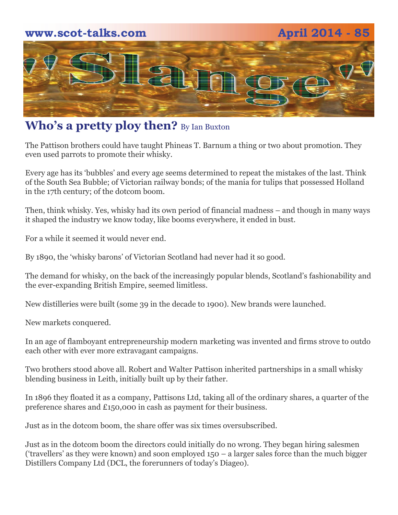

## **Who's a pretty ploy then?** By Ian Buxton

The Pattison brothers could have taught Phineas T. Barnum a thing or two about promotion. They even used parrots to promote their whisky.

Every age has its 'bubbles' and every age seems determined to repeat the mistakes of the last. Think of the South Sea Bubble; of Victorian railway bonds; of the mania for tulips that possessed Holland in the 17th century; of the dotcom boom.

Then, think whisky. Yes, whisky had its own period of financial madness – and though in many ways it shaped the industry we know today, like booms everywhere, it ended in bust.

For a while it seemed it would never end.

By 1890, the 'whisky barons' of Victorian Scotland had never had it so good.

The demand for whisky, on the back of the increasingly popular blends, Scotland's fashionability and the ever-expanding British Empire, seemed limitless.

New distilleries were built (some 39 in the decade to 1900). New brands were launched.

New markets conquered.

In an age of flamboyant entrepreneurship modern marketing was invented and firms strove to outdo each other with ever more extravagant campaigns.

Two brothers stood above all. Robert and Walter Pattison inherited partnerships in a small whisky blending business in Leith, initially built up by their father.

In 1896 they floated it as a company, Pattisons Ltd, taking all of the ordinary shares, a quarter of the preference shares and £150,000 in cash as payment for their business.

Just as in the dotcom boom, the share offer was six times oversubscribed.

Just as in the dotcom boom the directors could initially do no wrong. They began hiring salesmen ('travellers' as they were known) and soon employed 150 – a larger sales force than the much bigger Distillers Company Ltd (DCL, the forerunners of today's Diageo).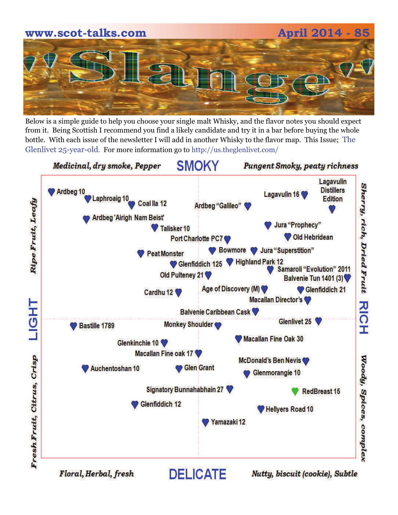# **www.scot-talks.com April 2014 - 85**

Below is a simple guide to help you choose your single malt Whisky, and the flavor notes you should expect from it. Being Scottish I recommend you find a likely candidate and try it in a bar before buying the whole bottle. With each issue of the newsletter I will add in another Whisky to the flavor map. This Issue; The Glenlivet 25-year-old. For more information go to http://us.theglenlivet.com/

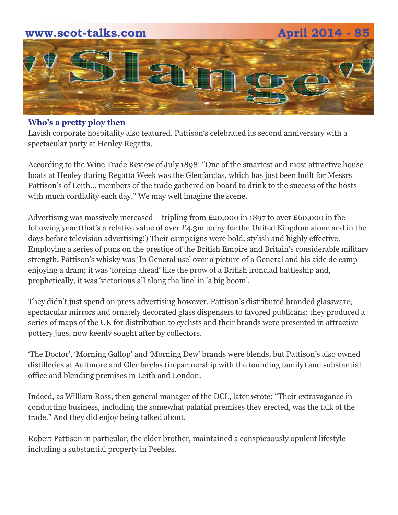# **www.scot-talks.com April 2014 - 85** 1211

### **Who's a pretty ploy then**

Lavish corporate hospitality also featured. Pattison's celebrated its second anniversary with a spectacular party at Henley Regatta.

According to the Wine Trade Review of July 1898: "One of the smartest and most attractive houseboats at Henley during Regatta Week was the Glenfarclas, which has just been built for Messrs Pattison's of Leith… members of the trade gathered on board to drink to the success of the hosts with much cordiality each day." We may well imagine the scene.

Advertising was massively increased – tripling from £20,000 in 1897 to over £60,000 in the following year (that's a relative value of over  $\pounds$ 4.3m today for the United Kingdom alone and in the days before television advertising!) Their campaigns were bold, stylish and highly effective. Employing a series of puns on the prestige of the British Empire and Britain's considerable military strength, Pattison's whisky was 'In General use' over a picture of a General and his aide de camp enjoying a dram; it was 'forging ahead' like the prow of a British ironclad battleship and, prophetically, it was 'victorious all along the line' in 'a big boom'.

They didn't just spend on press advertising however. Pattison's distributed branded glassware, spectacular mirrors and ornately decorated glass dispensers to favored publicans; they produced a series of maps of the UK for distribution to cyclists and their brands were presented in attractive pottery jugs, now keenly sought after by collectors.

'The Doctor', 'Morning Gallop' and 'Morning Dew' brands were blends, but Pattison's also owned distilleries at Aultmore and Glenfarclas (in partnership with the founding family) and substantial office and blending premises in Leith and London.

Indeed, as William Ross, then general manager of the DCL, later wrote: "Their extravagance in conducting business, including the somewhat palatial premises they erected, was the talk of the trade." And they did enjoy being talked about.

Robert Pattison in particular, the elder brother, maintained a conspicuously opulent lifestyle including a substantial property in Peebles.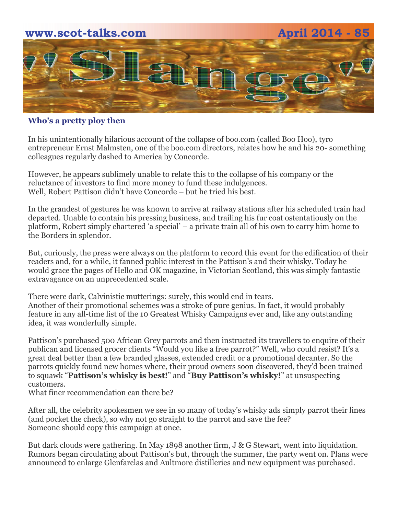

### **Who's a pretty ploy then**

In his unintentionally hilarious account of the collapse of boo.com (called Boo Hoo), tyro entrepreneur Ernst Malmsten, one of the boo.com directors, relates how he and his 20- something colleagues regularly dashed to America by Concorde.

However, he appears sublimely unable to relate this to the collapse of his company or the reluctance of investors to find more money to fund these indulgences. Well, Robert Pattison didn't have Concorde – but he tried his best.

In the grandest of gestures he was known to arrive at railway stations after his scheduled train had departed. Unable to contain his pressing business, and trailing his fur coat ostentatiously on the platform, Robert simply chartered 'a special' – a private train all of his own to carry him home to the Borders in splendor.

But, curiously, the press were always on the platform to record this event for the edification of their readers and, for a while, it fanned public interest in the Pattison's and their whisky. Today he would grace the pages of Hello and OK magazine, in Victorian Scotland, this was simply fantastic extravagance on an unprecedented scale.

There were dark, Calvinistic mutterings: surely, this would end in tears. Another of their promotional schemes was a stroke of pure genius. In fact, it would probably feature in any all-time list of the 10 Greatest Whisky Campaigns ever and, like any outstanding idea, it was wonderfully simple.

Pattison's purchased 500 African Grey parrots and then instructed its travellers to enquire of their publican and licensed grocer clients "Would you like a free parrot?" Well, who could resist? It's a great deal better than a few branded glasses, extended credit or a promotional decanter. So the parrots quickly found new homes where, their proud owners soon discovered, they'd been trained to squawk "**Pattison's whisky is best!**" and "**Buy Pattison's whisky!**" at unsuspecting customers.

What finer recommendation can there be?

After all, the celebrity spokesmen we see in so many of today's whisky ads simply parrot their lines (and pocket the check), so why not go straight to the parrot and save the fee? Someone should copy this campaign at once.

But dark clouds were gathering. In May 1898 another firm, J & G Stewart, went into liquidation. Rumors began circulating about Pattison's but, through the summer, the party went on. Plans were announced to enlarge Glenfarclas and Aultmore distilleries and new equipment was purchased.